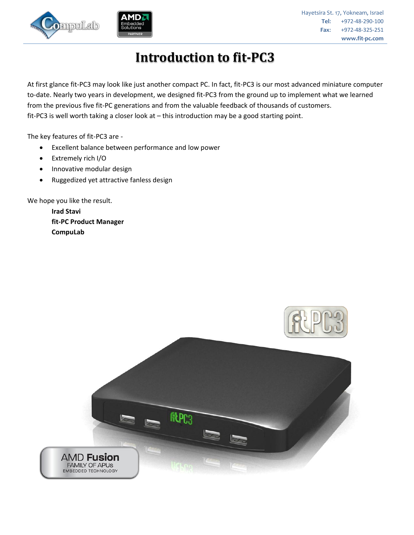



Hayetsira St. 17, Yokneam, Israel **Tel**: +972-48-290-100 **Fax**: +972-48-325-251 **www.fit-pc.com**

# **Introduction to fit-PC3**

At first glance fit-PC3 may look like just another compact PC. In fact, fit-PC3 is our most advanced miniature computer to-date. Nearly two years in development, we designed fit-PC3 from the ground up to implement what we learned from the previous five fit-PC generations and from the valuable feedback of thousands of customers. fit-PC3 is well worth taking a closer look at – this introduction may be a good starting point.

The key features of fit-PC3 are -

- Excellent balance between performance and low power
- Extremely rich I/O
- Innovative modular design
- Ruggedized yet attractive fanless design

We hope you like the result.

**Irad Stavi fit-PC Product Manager CompuLab**

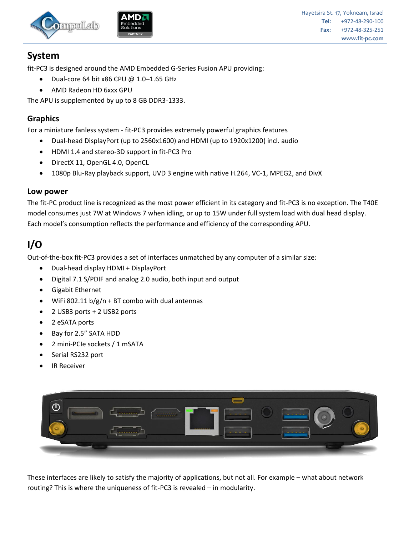



# **System**

fit-PC3 is designed around the AMD Embedded G-Series Fusion APU providing:

- $\bullet$  Dual-core 64 bit x86 CPU @ 1.0-1.65 GHz
- AMD Radeon HD 6xxx GPU

The APU is supplemented by up to 8 GB DDR3-1333.

#### **Graphics**

For a miniature fanless system - fit-PC3 provides extremely powerful graphics features

- Dual-head DisplayPort (up to 2560x1600) and HDMI (up to 1920x1200) incl. audio
- HDMI 1.4 and stereo-3D support in fit-PC3 Pro
- DirectX 11, OpenGL 4.0, OpenCL
- 1080p Blu-Ray playback support, UVD 3 engine with native H.264, VC-1, MPEG2, and DivX

#### **Low power**

The fit-PC product line is recognized as the most power efficient in its category and fit-PC3 is no exception. The T40E model consumes just 7W at Windows 7 when idling, or up to 15W under full system load with dual head display. Each model's consumption reflects the performance and efficiency of the corresponding APU.

# **I/O**

Out-of-the-box fit-PC3 provides a set of interfaces unmatched by any computer of a similar size:

- Dual-head display HDMI + DisplayPort
- Digital 7.1 S/PDIF and analog 2.0 audio, both input and output
- Gigabit Ethernet
- WiFi 802.11  $b/g/n + BT$  combo with dual antennas
- 2 USB3 ports + 2 USB2 ports
- 2 eSATA ports
- Bay for 2.5" SATA HDD
- 2 mini-PCIe sockets / 1 mSATA
- Serial RS232 port
- IR Receiver



These interfaces are likely to satisfy the majority of applications, but not all. For example – what about network routing? This is where the uniqueness of fit-PC3 is revealed – in modularity.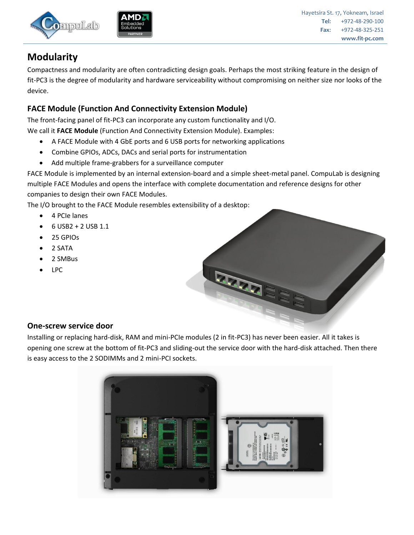



Hayetsira St. 17, Yokneam, Israel **Tel**: +972-48-290-100 **Fax**: +972-48-325-251 **www.fit-pc.com**

# **Modularity**

Compactness and modularity are often contradicting design goals. Perhaps the most striking feature in the design of fit-PC3 is the degree of modularity and hardware serviceability without compromising on neither size nor looks of the device.

## **FACE Module (Function And Connectivity Extension Module)**

The front-facing panel of fit-PC3 can incorporate any custom functionality and I/O. We call it **FACE Module** (Function And Connectivity Extension Module). Examples:

- A FACE Module with 4 GbE ports and 6 USB ports for networking applications
- Combine GPIOs, ADCs, DACs and serial ports for instrumentation
- Add multiple frame-grabbers for a surveillance computer

FACE Module is implemented by an internal extension-board and a simple sheet-metal panel. CompuLab is designing multiple FACE Modules and opens the interface with complete documentation and reference designs for other companies to design their own FACE Modules.

The I/O brought to the FACE Module resembles extensibility of a desktop:

- 4 PCIe lanes
- $\bullet$  6 USB2 + 2 USB 1.1
- 25 GPIOs
- 2 SATA
- 2 SMBus
- LPC



## **One-screw service door**

Installing or replacing hard-disk, RAM and mini-PCIe modules (2 in fit-PC3) has never been easier. All it takes is opening one screw at the bottom of fit-PC3 and sliding-out the service door with the hard-disk attached. Then there is easy access to the 2 SODIMMs and 2 mini-PCI sockets.